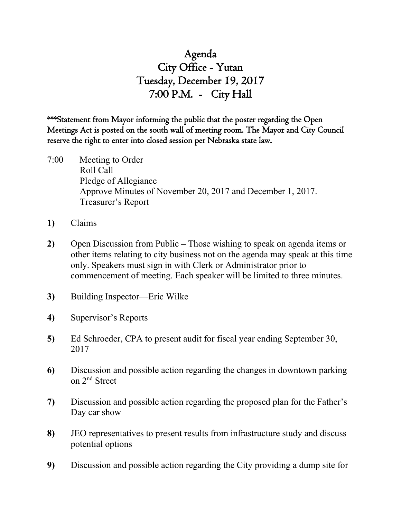Agenda City Office - Yutan Tuesday, December 19, 2017 7:00 P.M. - City Hall

\*\*\*Statement from Mayor informing the public that the poster regarding the Open Meetings Act is posted on the south wall of meeting room. The Mayor and City Council reserve the right to enter into closed session per Nebraska state law.

- 7:00 Meeting to Order Roll Call Pledge of Allegiance Approve Minutes of November 20, 2017 and December 1, 2017. Treasurer's Report
- **1)** Claims
- **2)** Open Discussion from Public **–** Those wishing to speak on agenda items or other items relating to city business not on the agenda may speak at this time only. Speakers must sign in with Clerk or Administrator prior to commencement of meeting. Each speaker will be limited to three minutes.
- **3)** Building Inspector—Eric Wilke
- **4)** Supervisor's Reports
- **5)** Ed Schroeder, CPA to present audit for fiscal year ending September 30, 2017
- **6)** Discussion and possible action regarding the changes in downtown parking on 2nd Street
- **7)** Discussion and possible action regarding the proposed plan for the Father's Day car show
- **8)** JEO representatives to present results from infrastructure study and discuss potential options
- **9)** Discussion and possible action regarding the City providing a dump site for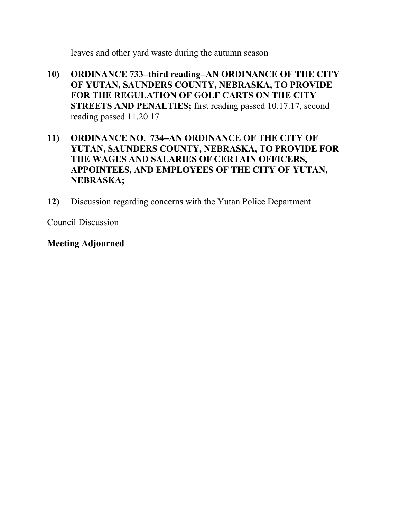leaves and other yard waste during the autumn season

**10) ORDINANCE 733**−**third reading**−**AN ORDINANCE OF THE CITY OF YUTAN, SAUNDERS COUNTY, NEBRASKA, TO PROVIDE FOR THE REGULATION OF GOLF CARTS ON THE CITY STREETS AND PENALTIES;** first reading passed 10.17.17, second reading passed 11.20.17

### **11) ORDINANCE NO. 734**−**AN ORDINANCE OF THE CITY OF YUTAN, SAUNDERS COUNTY, NEBRASKA, TO PROVIDE FOR THE WAGES AND SALARIES OF CERTAIN OFFICERS, APPOINTEES, AND EMPLOYEES OF THE CITY OF YUTAN, NEBRASKA;**

**12)** Discussion regarding concerns with the Yutan Police Department

Council Discussion

### **Meeting Adjourned**